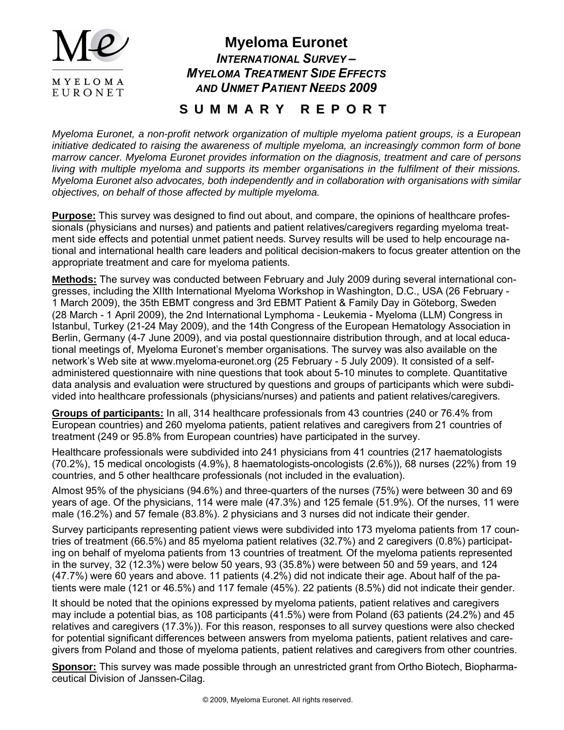

# **Myeloma Euronet** *INTERNATIONAL SURVEY – MYELOMA TREATMENT SIDE EFFECTS AND UNMET PATIENT NEEDS 2009*

# **S U M M A R Y R E P O R T**

*Myeloma Euronet, a non-profit network organization of multiple myeloma patient groups, is a European initiative dedicated to raising the awareness of multiple myeloma, an increasingly common form of bone marrow cancer. Myeloma Euronet provides information on the diagnosis, treatment and care of persons living with multiple myeloma and supports its member organisations in the fulfilment of their missions. Myeloma Euronet also advocates, both independently and in collaboration with organisations with similar objectives, on behalf of those affected by multiple myeloma.*

**Purpose:** This survey was designed to find out about, and compare, the opinions of healthcare professionals (physicians and nurses) and patients and patient relatives/caregivers regarding myeloma treatment side effects and potential unmet patient needs. Survey results will be used to help encourage national and international health care leaders and political decision-makers to focus greater attention on the appropriate treatment and care for myeloma patients.

**Methods:** The survey was conducted between February and July 2009 during several international congresses, including the XIIth International Myeloma Workshop in Washington, D.C., USA (26 February - 1 March 2009), the 35th EBMT congress and 3rd EBMT Patient & Family Day in Göteborg, Sweden (28 March - 1 April 2009), the 2nd International Lymphoma - Leukemia - Myeloma (LLM) Congress in Istanbul, Turkey (21-24 May 2009), and the 14th Congress of the European Hematology Association in Berlin, Germany (4-7 June 2009), and via postal questionnaire distribution through, and at local educational meetings of, Myeloma Euronet's member organisations. The survey was also available on the network's Web site at www.myeloma-euronet.org (25 February - 5 July 2009). It consisted of a selfadministered questionnaire with nine questions that took about 5-10 minutes to complete. Quantitative data analysis and evaluation were structured by questions and groups of participants which were subdivided into healthcare professionals (physicians/nurses) and patients and patient relatives/caregivers.

**Groups of participants:** In all, 314 healthcare professionals from 43 countries (240 or 76.4% from European countries) and 260 myeloma patients, patient relatives and caregivers from 21 countries of treatment (249 or 95.8% from European countries) have participated in the survey.

Healthcare professionals were subdivided into 241 physicians from 41 countries (217 haematologists (70.2%), 15 medical oncologists (4.9%), 8 haematologists-oncologists (2.6%)), 68 nurses (22%) from 19 countries, and 5 other healthcare professionals (not included in the evaluation).

Almost 95% of the physicians (94.6%) and three-quarters of the nurses (75%) were between 30 and 69 years of age. Of the physicians, 114 were male (47.3%) and 125 female (51.9%). Of the nurses, 11 were male (16.2%) and 57 female (83.8%). 2 physicians and 3 nurses did not indicate their gender.

Survey participants representing patient views were subdivided into 173 myeloma patients from 17 countries of treatment (66.5%) and 85 myeloma patient relatives (32.7%) and 2 caregivers (0.8%) participating on behalf of myeloma patients from 13 countries of treatment. Of the myeloma patients represented in the survey, 32 (12.3%) were below 50 years, 93 (35.8%) were between 50 and 59 years, and 124 (47.7%) were 60 years and above. 11 patients (4.2%) did not indicate their age. About half of the patients were male (121 or 46.5%) and 117 female (45%). 22 patients (8.5%) did not indicate their gender.

It should be noted that the opinions expressed by myeloma patients, patient relatives and caregivers may include a potential bias, as 108 participants (41.5%) were from Poland (63 patients (24.2%) and 45 relatives and caregivers (17.3%)). For this reason, responses to all survey questions were also checked for potential significant differences between answers from myeloma patients, patient relatives and caregivers from Poland and those of myeloma patients, patient relatives and caregivers from other countries.

**Sponsor:** This survey was made possible through an unrestricted grant from Ortho Biotech, Biopharmaceutical Division of Janssen-Cilag.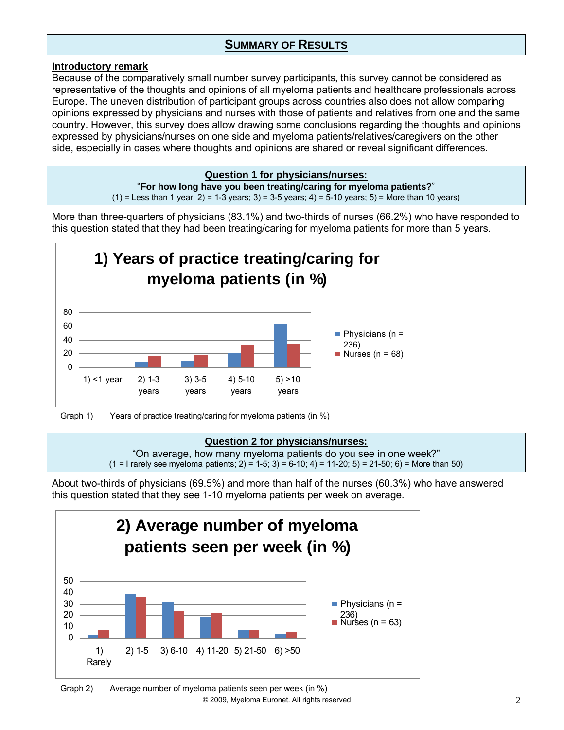# **SUMMARY OF RESULTS**

#### **Introductory remark**

Because of the comparatively small number survey participants, this survey cannot be considered as representative of the thoughts and opinions of all myeloma patients and healthcare professionals across Europe. The uneven distribution of participant groups across countries also does not allow comparing opinions expressed by physicians and nurses with those of patients and relatives from one and the same country. However, this survey does allow drawing some conclusions regarding the thoughts and opinions expressed by physicians/nurses on one side and myeloma patients/relatives/caregivers on the other side, especially in cases where thoughts and opinions are shared or reveal significant differences.

#### **Question 1 for physicians/nurses:**

"**For how long have you been treating/caring for myeloma patients?**"  $(1)$  = Less than 1 year; 2) = 1-3 years; 3) = 3-5 years; 4) = 5-10 years; 5) = More than 10 years)

More than three-quarters of physicians (83.1%) and two-thirds of nurses (66.2%) who have responded to this question stated that they had been treating/caring for myeloma patients for more than 5 years.



Graph 1) Years of practice treating/caring for myeloma patients (in %)

#### **Question 2 for physicians/nurses:**

"On average, how many myeloma patients do you see in one week?"  $(1 = 1$  rarely see myeloma patients;  $2) = 1-5$ ;  $3) = 6-10$ ;  $4) = 11-20$ ;  $5) = 21-50$ ;  $6) =$  More than 50)

About two-thirds of physicians (69.5%) and more than half of the nurses (60.3%) who have answered this question stated that they see 1-10 myeloma patients per week on average.

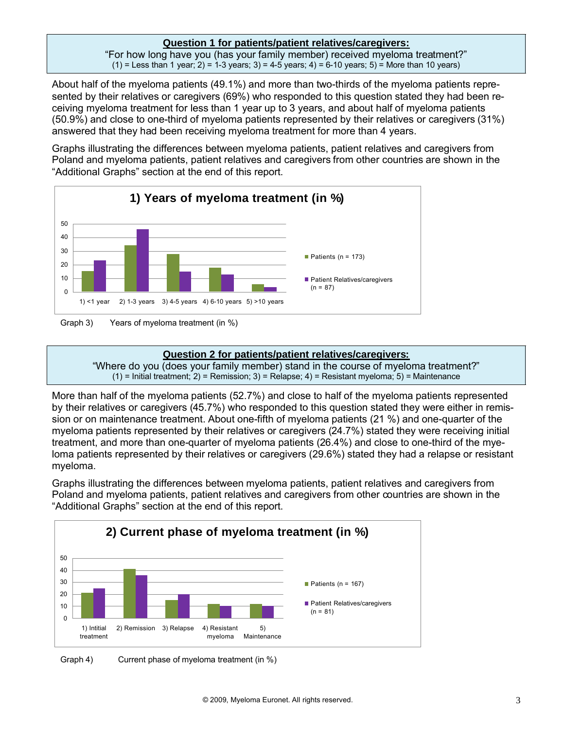#### **Question 1 for patients/patient relatives/caregivers:**

"For how long have you (has your family member) received myeloma treatment?"  $(1)$  = Less than 1 year; 2) = 1-3 years; 3) = 4-5 years; 4) = 6-10 years; 5) = More than 10 years)

About half of the myeloma patients (49.1%) and more than two-thirds of the myeloma patients represented by their relatives or caregivers (69%) who responded to this question stated they had been receiving myeloma treatment for less than 1 year up to 3 years, and about half of myeloma patients (50.9%) and close to one-third of myeloma patients represented by their relatives or caregivers (31%) answered that they had been receiving myeloma treatment for more than 4 years.

Graphs illustrating the differences between myeloma patients, patient relatives and caregivers from Poland and myeloma patients, patient relatives and caregivers from other countries are shown in the "Additional Graphs" section at the end of this report.



Graph 3) Years of myeloma treatment (in %)

#### **Question 2 for patients/patient relatives/caregivers:**

"Where do you (does your family member) stand in the course of myeloma treatment?"  $(1)$  = Initial treatment; 2) = Remission; 3) = Relapse; 4) = Resistant myeloma; 5) = Maintenance

More than half of the myeloma patients (52.7%) and close to half of the myeloma patients represented by their relatives or caregivers (45.7%) who responded to this question stated they were either in remission or on maintenance treatment. About one-fifth of myeloma patients (21 %) and one-quarter of the myeloma patients represented by their relatives or caregivers (24.7%) stated they were receiving initial treatment, and more than one-quarter of myeloma patients (26.4%) and close to one-third of the myeloma patients represented by their relatives or caregivers (29.6%) stated they had a relapse or resistant myeloma.



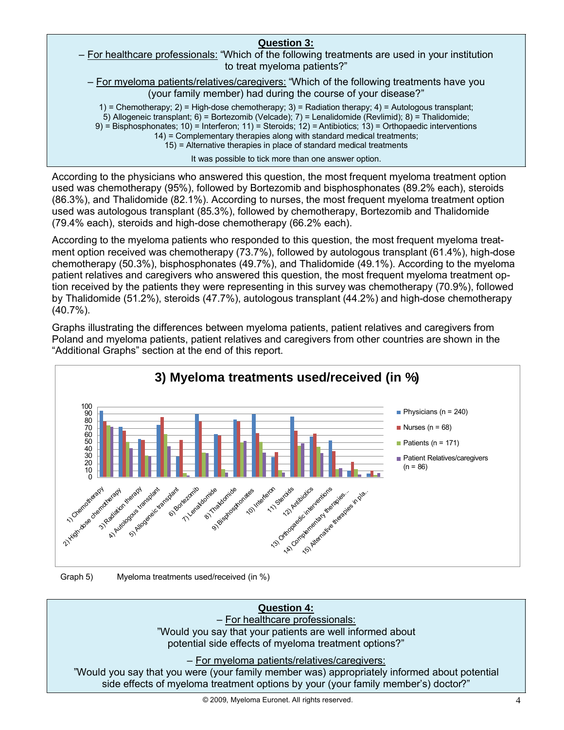## **Question 3:** – For healthcare professionals: "Which of the following treatments are used in your institution to treat myeloma patients?" – For myeloma patients/relatives/caregivers: "Which of the following treatments have you (your family member) had during the course of your disease?" 1) = Chemotherapy; 2) = High-dose chemotherapy; 3) = Radiation therapy; 4) = Autologous transplant; 5) Allogeneic transplant; 6) = Bortezomib (Velcade); 7) = Lenalidomide (Revlimid); 8) = Thalidomide; 9) = Bisphosphonates; 10) = Interferon; 11) = Steroids; 12) = Antibiotics; 13) = Orthopaedic interventions 14) = Complementary therapies along with standard medical treatments; 15) = Alternative therapies in place of standard medical treatments It was possible to tick more than one answer option. According to the physicians who answered this question, the most frequent myeloma treatment option

used was chemotherapy (95%), followed by Bortezomib and bisphosphonates (89.2% each), steroids (86.3%), and Thalidomide (82.1%). According to nurses, the most frequent myeloma treatment option used was autologous transplant (85.3%), followed by chemotherapy, Bortezomib and Thalidomide (79.4% each), steroids and high-dose chemotherapy (66.2% each).

According to the myeloma patients who responded to this question, the most frequent myeloma treatment option received was chemotherapy (73.7%), followed by autologous transplant (61.4%), high-dose chemotherapy (50.3%), bisphosphonates (49.7%), and Thalidomide (49.1%). According to the myeloma patient relatives and caregivers who answered this question, the most frequent myeloma treatment option received by the patients they were representing in this survey was chemotherapy (70.9%), followed by Thalidomide (51.2%), steroids (47.7%), autologous transplant (44.2%) and high-dose chemotherapy (40.7%).

Graphs illustrating the differences between myeloma patients, patient relatives and caregivers from Poland and myeloma patients, patient relatives and caregivers from other countries are shown in the "Additional Graphs" section at the end of this report.





Graph 5) Myeloma treatments used/received (in %)

## **Question 4:**

– For healthcare professionals: "Would you say that your patients are well informed about potential side effects of myeloma treatment options?"

– For myeloma patients/relatives/caregivers:

"Would you say that you were (your family member was) appropriately informed about potential side effects of myeloma treatment options by your (your family member's) doctor?"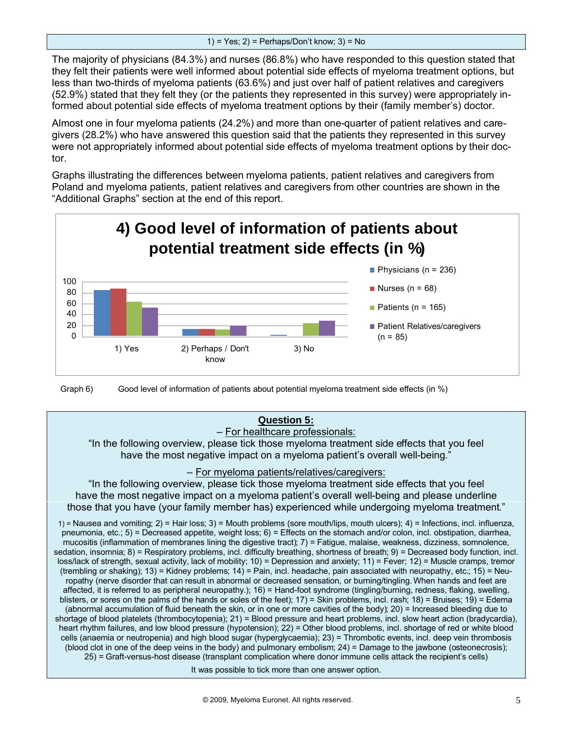The majority of physicians (84.3%) and nurses (86.8%) who have responded to this question stated that they felt their patients were well informed about potential side effects of myeloma treatment options, but less than two-thirds of myeloma patients (63.6%) and just over half of patient relatives and caregivers (52.9%) stated that they felt they (or the patients they represented in this survey) were appropriately informed about potential side effects of myeloma treatment options by their (family member's) doctor.

Almost one in four myeloma patients (24.2%) and more than one-quarter of patient relatives and caregivers (28.2%) who have answered this question said that the patients they represented in this survey were not appropriately informed about potential side effects of myeloma treatment options by their doctor.

Graphs illustrating the differences between myeloma patients, patient relatives and caregivers from Poland and myeloma patients, patient relatives and caregivers from other countries are shown in the "Additional Graphs" section at the end of this report.



Graph 6) Good level of information of patients about potential myeloma treatment side effects (in %)

## **Question 5:**

#### – For healthcare professionals:

"In the following overview, please tick those myeloma treatment side effects that you feel have the most negative impact on a myeloma patient's overall well-being."

#### – For myeloma patients/relatives/caregivers:

"In the following overview, please tick those myeloma treatment side effects that you feel have the most negative impact on a myeloma patient's overall well-being and please underline those that you have (your family member has) experienced while undergoing myeloma treatment."

1) = Nausea and vomiting; 2) = Hair loss; 3) = Mouth problems (sore mouth/lips, mouth ulcers); 4) = Infections, incl. influenza, pneumonia, etc.;  $5$ ) = Decreased appetite, weight loss;  $6$ ) = Effects on the stomach and/or colon, incl. obstipation, diarrhea, mucositis (inflammation of membranes lining the digestive tract); 7) = Fatigue, malaise, weakness, dizziness, somnolence, sedation, insomnia; 8) = Respiratory problems, incl. difficulty breathing, shortness of breath; 9) = Decreased body function, incl. loss/lack of strength, sexual activity, lack of mobility; 10) = Depression and anxiety; 11) = Fever; 12) = Muscle cramps, tremor (trembling or shaking); 13) = Kidney problems; 14) = Pain, incl. headache, pain associated with neuropathy, etc.; 15) = Neuropathy (nerve disorder that can result in abnormal or decreased sensation, or burning/tingling.When hands and feet are affected, it is referred to as peripheral neuropathy.); 16) = Hand-foot syndrome (tingling/burning, redness, flaking, swelling, blisters, or sores on the palms of the hands or soles of the feet); 17) = Skin problems, incl. rash; 18) = Bruises; 19) = Edema (abnormal accumulation of fluid beneath the skin, or in one or more cavities of the body); 20) = Increased bleeding due to shortage of blood platelets (thrombocytopenia); 21) = Blood pressure and heart problems, incl. slow heart action (bradycardia), heart rhythm failures, and low blood pressure (hypotension); 22) = Other blood problems, incl. shortage of red or white blood cells (anaemia or neutropenia) and high blood sugar (hyperglycaemia); 23) = Thrombotic events, incl. deep vein thrombosis (blood clot in one of the deep veins in the body) and pulmonary embolism; 24) = Damage to the jawbone (osteonecrosis); 25) = Graft-versus-host disease (transplant complication where donor immune cells attack the recipient's cells)

It was possible to tick more than one answer option.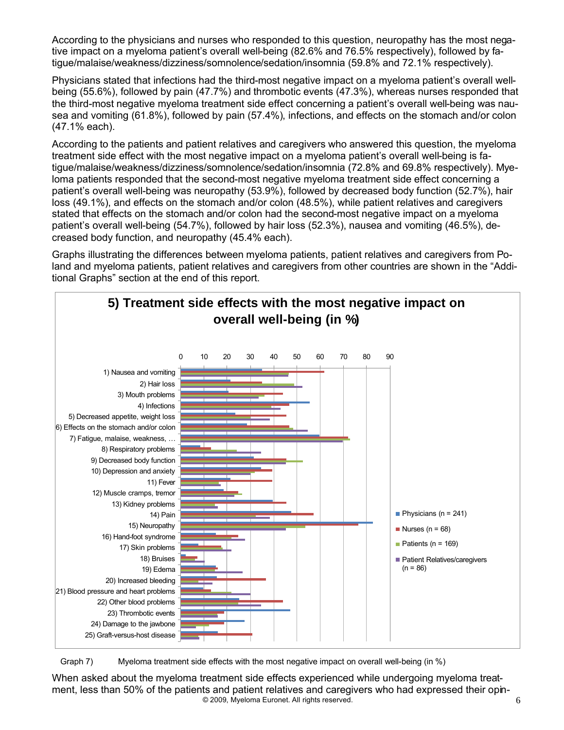According to the physicians and nurses who responded to this question, neuropathy has the most negative impact on a myeloma patient's overall well-being (82.6% and 76.5% respectively), followed by fatigue/malaise/weakness/dizziness/somnolence/sedation/insomnia (59.8% and 72.1% respectively).

Physicians stated that infections had the third-most negative impact on a myeloma patient's overall wellbeing (55.6%), followed by pain (47.7%) and thrombotic events (47.3%), whereas nurses responded that the third-most negative myeloma treatment side effect concerning a patient's overall well-being was nausea and vomiting (61.8%), followed by pain (57.4%), infections, and effects on the stomach and/or colon (47.1% each).

According to the patients and patient relatives and caregivers who answered this question, the myeloma treatment side effect with the most negative impact on a myeloma patient's overall well-being is fatigue/malaise/weakness/dizziness/somnolence/sedation/insomnia (72.8% and 69.8% respectively). Myeloma patients responded that the second-most negative myeloma treatment side effect concerning a patient's overall well-being was neuropathy (53.9%), followed by decreased body function (52.7%), hair loss (49.1%), and effects on the stomach and/or colon (48.5%), while patient relatives and caregivers stated that effects on the stomach and/or colon had the second-most negative impact on a myeloma patient's overall well-being (54.7%), followed by hair loss (52.3%), nausea and vomiting (46.5%), decreased body function, and neuropathy (45.4% each).

Graphs illustrating the differences between myeloma patients, patient relatives and caregivers from Poland and myeloma patients, patient relatives and caregivers from other countries are shown in the "Additional Graphs" section at the end of this report.



Graph 7) Myeloma treatment side effects with the most negative impact on overall well-being (in %)

© 2009, Myeloma Euronet. All rights reserved. **6** 6 When asked about the myeloma treatment side effects experienced while undergoing myeloma treatment, less than 50% of the patients and patient relatives and caregivers who had expressed their opin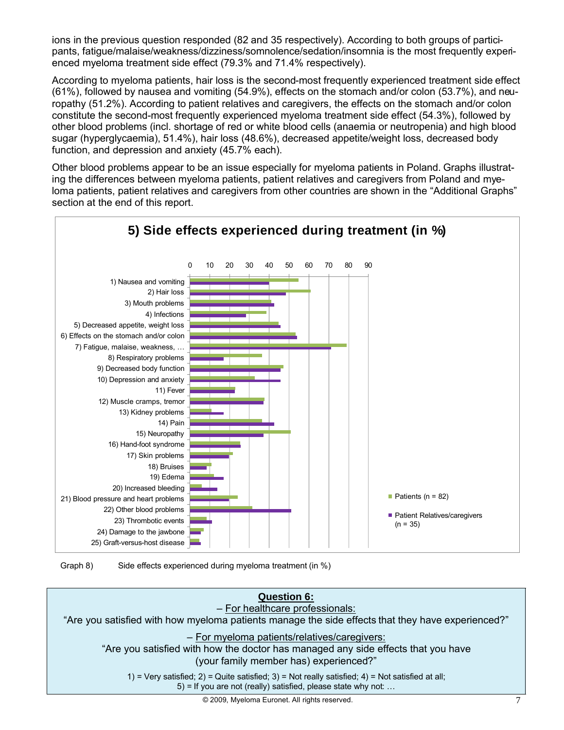ions in the previous question responded (82 and 35 respectively). According to both groups of participants, fatigue/malaise/weakness/dizziness/somnolence/sedation/insomnia is the most frequently experienced myeloma treatment side effect (79.3% and 71.4% respectively).

According to myeloma patients, hair loss is the second-most frequently experienced treatment side effect (61%), followed by nausea and vomiting (54.9%), effects on the stomach and/or colon (53.7%), and neuropathy (51.2%). According to patient relatives and caregivers, the effects on the stomach and/or colon constitute the second-most frequently experienced myeloma treatment side effect (54.3%), followed by other blood problems (incl. shortage of red or white blood cells (anaemia or neutropenia) and high blood sugar (hyperglycaemia), 51.4%), hair loss (48.6%), decreased appetite/weight loss, decreased body function, and depression and anxiety (45.7% each).

Other blood problems appear to be an issue especially for myeloma patients in Poland. Graphs illustrating the differences between myeloma patients, patient relatives and caregivers from Poland and myeloma patients, patient relatives and caregivers from other countries are shown in the "Additional Graphs" section at the end of this report.



Graph 8) Side effects experienced during myeloma treatment (in %)

## **Question 6:**

– For healthcare professionals:

"Are you satisfied with how myeloma patients manage the side effects that they have experienced?"

#### – For myeloma patients/relatives/caregivers:

"Are you satisfied with how the doctor has managed any side effects that you have (your family member has) experienced?"

1) = Very satisfied;  $2$ ) = Quite satisfied;  $3$ ) = Not really satisfied;  $4$ ) = Not satisfied at all; 5) = If you are not (really) satisfied, please state why not: …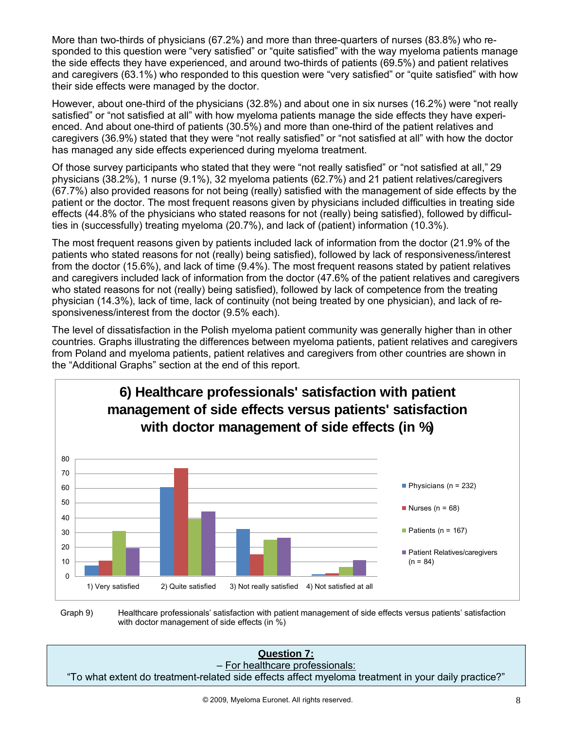More than two-thirds of physicians (67.2%) and more than three-quarters of nurses (83.8%) who responded to this question were "very satisfied" or "quite satisfied" with the way myeloma patients manage the side effects they have experienced, and around two-thirds of patients (69.5%) and patient relatives and caregivers (63.1%) who responded to this question were "very satisfied" or "quite satisfied" with how their side effects were managed by the doctor.

However, about one-third of the physicians (32.8%) and about one in six nurses (16.2%) were "not really satisfied" or "not satisfied at all" with how myeloma patients manage the side effects they have experienced. And about one-third of patients (30.5%) and more than one-third of the patient relatives and caregivers (36.9%) stated that they were "not really satisfied" or "not satisfied at all" with how the doctor has managed any side effects experienced during myeloma treatment.

Of those survey participants who stated that they were "not really satisfied" or "not satisfied at all," 29 physicians (38.2%), 1 nurse (9.1%), 32 myeloma patients (62.7%) and 21 patient relatives/caregivers (67.7%) also provided reasons for not being (really) satisfied with the management of side effects by the patient or the doctor. The most frequent reasons given by physicians included difficulties in treating side effects (44.8% of the physicians who stated reasons for not (really) being satisfied), followed by difficulties in (successfully) treating myeloma (20.7%), and lack of (patient) information (10.3%).

The most frequent reasons given by patients included lack of information from the doctor (21.9% of the patients who stated reasons for not (really) being satisfied), followed by lack of responsiveness/interest from the doctor (15.6%), and lack of time (9.4%). The most frequent reasons stated by patient relatives and caregivers included lack of information from the doctor (47.6% of the patient relatives and caregivers who stated reasons for not (really) being satisfied), followed by lack of competence from the treating physician (14.3%), lack of time, lack of continuity (not being treated by one physician), and lack of responsiveness/interest from the doctor (9.5% each).

The level of dissatisfaction in the Polish myeloma patient community was generally higher than in other countries. Graphs illustrating the differences between myeloma patients, patient relatives and caregivers from Poland and myeloma patients, patient relatives and caregivers from other countries are shown in the "Additional Graphs" section at the end of this report.



Graph 9) Healthcare professionals' satisfaction with patient management of side effects versus patients' satisfaction with doctor management of side effects (in %)

**Question 7:** – For healthcare professionals:

"To what extent do treatment-related side effects affect myeloma treatment in your daily practice?"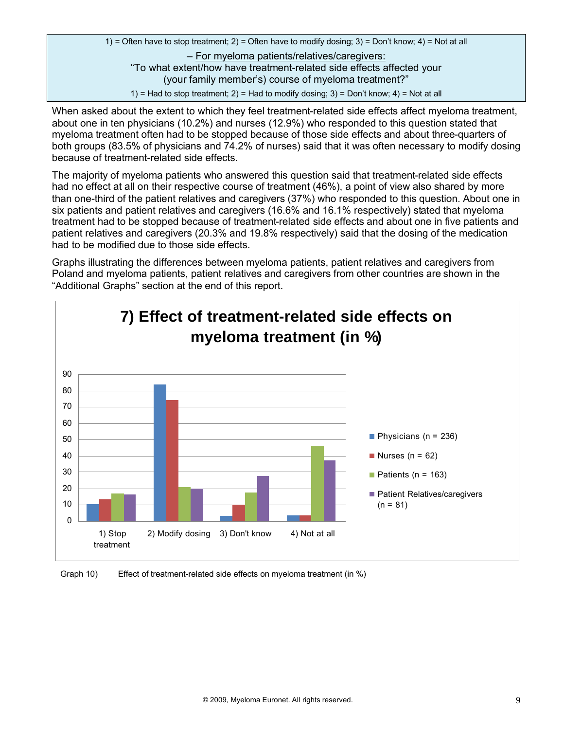1) = Often have to stop treatment; 2) = Often have to modify dosing; 3) = Don't know; 4) = Not at all – For myeloma patients/relatives/caregivers: "To what extent/how have treatment-related side effects affected your (your family member's) course of myeloma treatment?" 1) = Had to stop treatment; 2) = Had to modify dosing; 3) = Don't know; 4) = Not at all

When asked about the extent to which they feel treatment-related side effects affect myeloma treatment, about one in ten physicians (10.2%) and nurses (12.9%) who responded to this question stated that myeloma treatment often had to be stopped because of those side effects and about three-quarters of both groups (83.5% of physicians and 74.2% of nurses) said that it was often necessary to modify dosing because of treatment-related side effects.

The majority of myeloma patients who answered this question said that treatment-related side effects had no effect at all on their respective course of treatment (46%), a point of view also shared by more than one-third of the patient relatives and caregivers (37%) who responded to this question. About one in six patients and patient relatives and caregivers (16.6% and 16.1% respectively) stated that myeloma treatment had to be stopped because of treatment-related side effects and about one in five patients and patient relatives and caregivers (20.3% and 19.8% respectively) said that the dosing of the medication had to be modified due to those side effects.



Graph 10) Effect of treatment-related side effects on myeloma treatment (in %)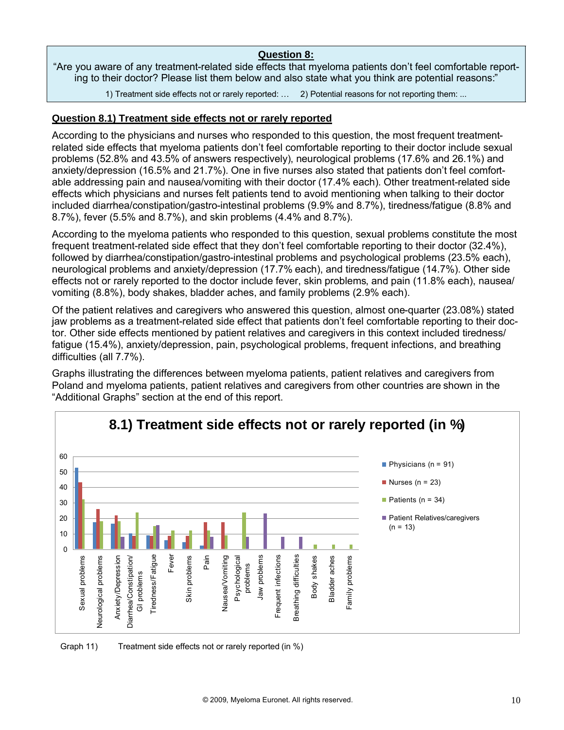#### **Question 8:**

"Are you aware of any treatment-related side effects that myeloma patients don't feel comfortable reporting to their doctor? Please list them below and also state what you think are potential reasons:"

1) Treatment side effects not or rarely reported: … 2) Potential reasons for not reporting them: ...

## **Question 8.1) Treatment side effects not or rarely reported**

According to the physicians and nurses who responded to this question, the most frequent treatmentrelated side effects that myeloma patients don't feel comfortable reporting to their doctor include sexual problems (52.8% and 43.5% of answers respectively), neurological problems (17.6% and 26.1%) and anxiety/depression (16.5% and 21.7%). One in five nurses also stated that patients don't feel comfortable addressing pain and nausea/vomiting with their doctor (17.4% each). Other treatment-related side effects which physicians and nurses felt patients tend to avoid mentioning when talking to their doctor included diarrhea/constipation/gastro-intestinal problems (9.9% and 8.7%), tiredness/fatigue (8.8% and 8.7%), fever (5.5% and 8.7%), and skin problems (4.4% and 8.7%).

According to the myeloma patients who responded to this question, sexual problems constitute the most frequent treatment-related side effect that they don't feel comfortable reporting to their doctor (32.4%), followed by diarrhea/constipation/gastro-intestinal problems and psychological problems (23.5% each), neurological problems and anxiety/depression (17.7% each), and tiredness/fatigue (14.7%). Other side effects not or rarely reported to the doctor include fever, skin problems, and pain (11.8% each), nausea/ vomiting (8.8%), body shakes, bladder aches, and family problems (2.9% each).

Of the patient relatives and caregivers who answered this question, almost one-quarter (23.08%) stated jaw problems as a treatment-related side effect that patients don't feel comfortable reporting to their doctor. Other side effects mentioned by patient relatives and caregivers in this context included tiredness/ fatigue (15.4%), anxiety/depression, pain, psychological problems, frequent infections, and breathing difficulties (all 7.7%).



Graph 11) Treatment side effects not or rarely reported (in %)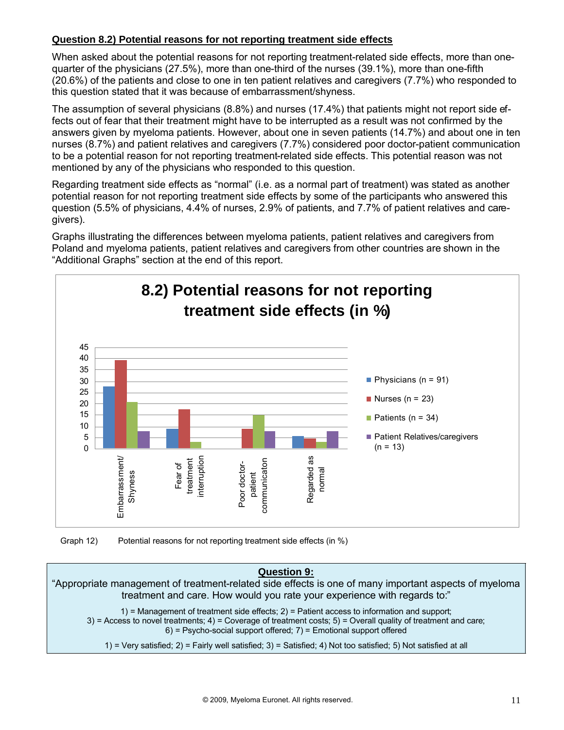## **Question 8.2) Potential reasons for not reporting treatment side effects**

When asked about the potential reasons for not reporting treatment-related side effects, more than onequarter of the physicians (27.5%), more than one-third of the nurses (39.1%), more than one-fifth (20.6%) of the patients and close to one in ten patient relatives and caregivers (7.7%) who responded to this question stated that it was because of embarrassment/shyness.

The assumption of several physicians (8.8%) and nurses (17.4%) that patients might not report side effects out of fear that their treatment might have to be interrupted as a result was not confirmed by the answers given by myeloma patients. However, about one in seven patients (14.7%) and about one in ten nurses (8.7%) and patient relatives and caregivers (7.7%) considered poor doctor-patient communication to be a potential reason for not reporting treatment-related side effects. This potential reason was not mentioned by any of the physicians who responded to this question.

Regarding treatment side effects as "normal" (i.e. as a normal part of treatment) was stated as another potential reason for not reporting treatment side effects by some of the participants who answered this question (5.5% of physicians, 4.4% of nurses, 2.9% of patients, and 7.7% of patient relatives and caregivers).

Graphs illustrating the differences between myeloma patients, patient relatives and caregivers from Poland and myeloma patients, patient relatives and caregivers from other countries are shown in the "Additional Graphs" section at the end of this report.



Graph 12) Potential reasons for not reporting treatment side effects (in %)

## **Question 9:** "Appropriate management of treatment-related side effects is one of many important aspects of myeloma treatment and care. How would you rate your experience with regards to:" 1) = Management of treatment side effects;  $2$ ) = Patient access to information and support;  $3$ ) = Access to novel treatments;  $4$ ) = Coverage of treatment costs;  $5$ ) = Overall quality of treatment and care; 6) = Psycho-social support offered; 7) = Emotional support offered 1) = Very satisfied; 2) = Fairly well satisfied; 3) = Satisfied; 4) Not too satisfied; 5) Not satisfied at all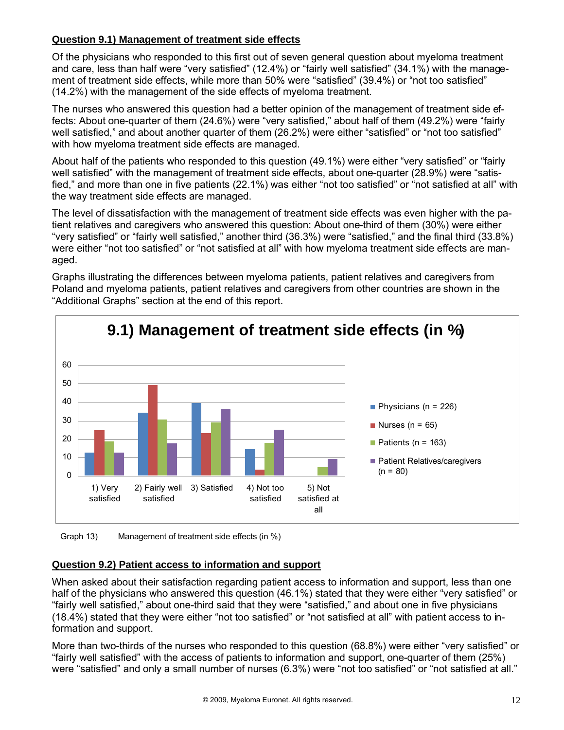## **Question 9.1) Management of treatment side effects**

Of the physicians who responded to this first out of seven general question about myeloma treatment and care, less than half were "very satisfied" (12.4%) or "fairly well satisfied" (34.1%) with the management of treatment side effects, while more than 50% were "satisfied" (39.4%) or "not too satisfied" (14.2%) with the management of the side effects of myeloma treatment.

The nurses who answered this question had a better opinion of the management of treatment side effects: About one-quarter of them (24.6%) were "very satisfied," about half of them (49.2%) were "fairly well satisfied," and about another quarter of them (26.2%) were either "satisfied" or "not too satisfied" with how myeloma treatment side effects are managed.

About half of the patients who responded to this question (49.1%) were either "very satisfied" or "fairly well satisfied" with the management of treatment side effects, about one-quarter (28.9%) were "satisfied," and more than one in five patients (22.1%) was either "not too satisfied" or "not satisfied at all" with the way treatment side effects are managed.

The level of dissatisfaction with the management of treatment side effects was even higher with the patient relatives and caregivers who answered this question: About one-third of them (30%) were either "very satisfied" or "fairly well satisfied," another third (36.3%) were "satisfied," and the final third (33.8%) were either "not too satisfied" or "not satisfied at all" with how myeloma treatment side effects are managed.



Graphs illustrating the differences between myeloma patients, patient relatives and caregivers from Poland and myeloma patients, patient relatives and caregivers from other countries are shown in the "Additional Graphs" section at the end of this report.

Graph 13) Management of treatment side effects (in %)

## **Question 9.2) Patient access to information and support**

When asked about their satisfaction regarding patient access to information and support, less than one half of the physicians who answered this question (46.1%) stated that they were either "very satisfied" or "fairly well satisfied," about one-third said that they were "satisfied," and about one in five physicians (18.4%) stated that they were either "not too satisfied" or "not satisfied at all" with patient access to information and support.

More than two-thirds of the nurses who responded to this question (68.8%) were either "very satisfied" or "fairly well satisfied" with the access of patients to information and support, one-quarter of them (25%) were "satisfied" and only a small number of nurses (6.3%) were "not too satisfied" or "not satisfied at all."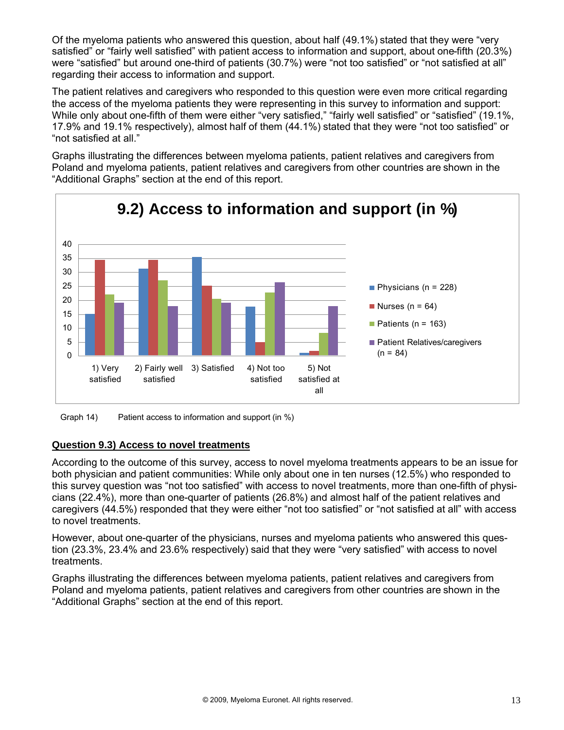Of the myeloma patients who answered this question, about half (49.1%) stated that they were "very satisfied" or "fairly well satisfied" with patient access to information and support, about one-fifth (20.3%) were "satisfied" but around one-third of patients (30.7%) were "not too satisfied" or "not satisfied at all" regarding their access to information and support.

The patient relatives and caregivers who responded to this question were even more critical regarding the access of the myeloma patients they were representing in this survey to information and support: While only about one-fifth of them were either "very satisfied," "fairly well satisfied" or "satisfied" (19.1%, 17.9% and 19.1% respectively), almost half of them (44.1%) stated that they were "not too satisfied" or "not satisfied at all."

Graphs illustrating the differences between myeloma patients, patient relatives and caregivers from Poland and myeloma patients, patient relatives and caregivers from other countries are shown in the "Additional Graphs" section at the end of this report.



Graph 14) Patient access to information and support (in %)

## **Question 9.3) Access to novel treatments**

According to the outcome of this survey, access to novel myeloma treatments appears to be an issue for both physician and patient communities: While only about one in ten nurses (12.5%) who responded to this survey question was "not too satisfied" with access to novel treatments, more than one-fifth of physicians (22.4%), more than one-quarter of patients (26.8%) and almost half of the patient relatives and caregivers (44.5%) responded that they were either "not too satisfied" or "not satisfied at all" with access to novel treatments.

However, about one-quarter of the physicians, nurses and myeloma patients who answered this question (23.3%, 23.4% and 23.6% respectively) said that they were "very satisfied" with access to novel treatments.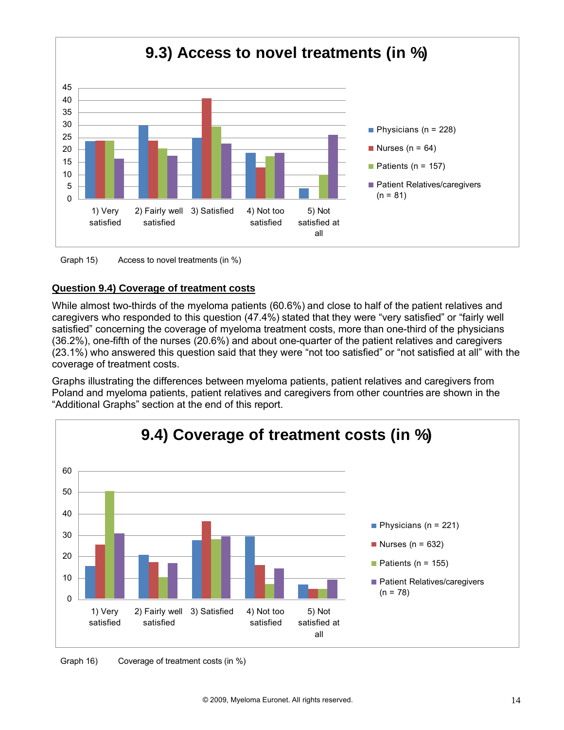

#### Graph 15) Access to novel treatments (in %)

## **Question 9.4) Coverage of treatment costs**

While almost two-thirds of the myeloma patients (60.6%) and close to half of the patient relatives and caregivers who responded to this question (47.4%) stated that they were "very satisfied" or "fairly well satisfied" concerning the coverage of myeloma treatment costs, more than one-third of the physicians (36.2%), one-fifth of the nurses (20.6%) and about one-quarter of the patient relatives and caregivers (23.1%) who answered this question said that they were "not too satisfied" or "not satisfied at all" with the coverage of treatment costs.



Graph 16) Coverage of treatment costs (in %)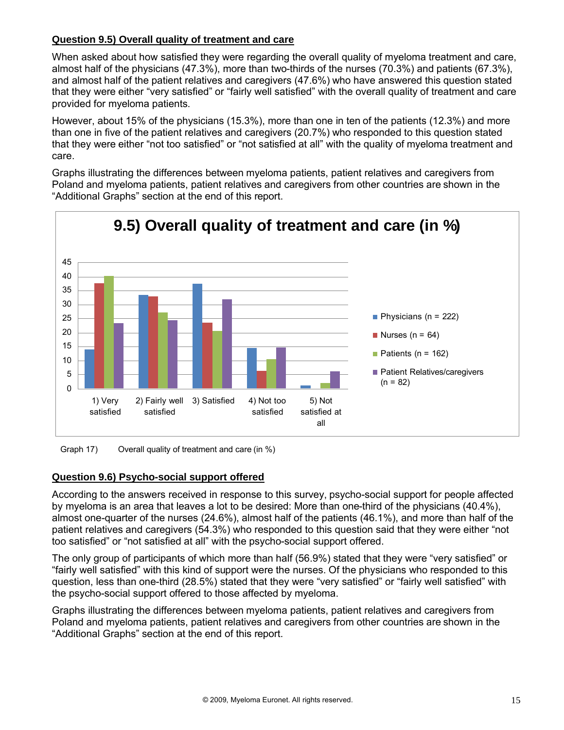## **Question 9.5) Overall quality of treatment and care**

When asked about how satisfied they were regarding the overall quality of myeloma treatment and care, almost half of the physicians (47.3%), more than two-thirds of the nurses (70.3%) and patients (67.3%), and almost half of the patient relatives and caregivers (47.6%) who have answered this question stated that they were either "very satisfied" or "fairly well satisfied" with the overall quality of treatment and care provided for myeloma patients.

However, about 15% of the physicians (15.3%), more than one in ten of the patients (12.3%) and more than one in five of the patient relatives and caregivers (20.7%) who responded to this question stated that they were either "not too satisfied" or "not satisfied at all" with the quality of myeloma treatment and care.

Graphs illustrating the differences between myeloma patients, patient relatives and caregivers from Poland and myeloma patients, patient relatives and caregivers from other countries are shown in the "Additional Graphs" section at the end of this report.





#### **Question 9.6) Psycho-social support offered**

According to the answers received in response to this survey, psycho-social support for people affected by myeloma is an area that leaves a lot to be desired: More than one-third of the physicians (40.4%), almost one-quarter of the nurses (24.6%), almost half of the patients (46.1%), and more than half of the patient relatives and caregivers (54.3%) who responded to this question said that they were either "not too satisfied" or "not satisfied at all" with the psycho-social support offered.

The only group of participants of which more than half (56.9%) stated that they were "very satisfied" or "fairly well satisfied" with this kind of support were the nurses. Of the physicians who responded to this question, less than one-third (28.5%) stated that they were "very satisfied" or "fairly well satisfied" with the psycho-social support offered to those affected by myeloma.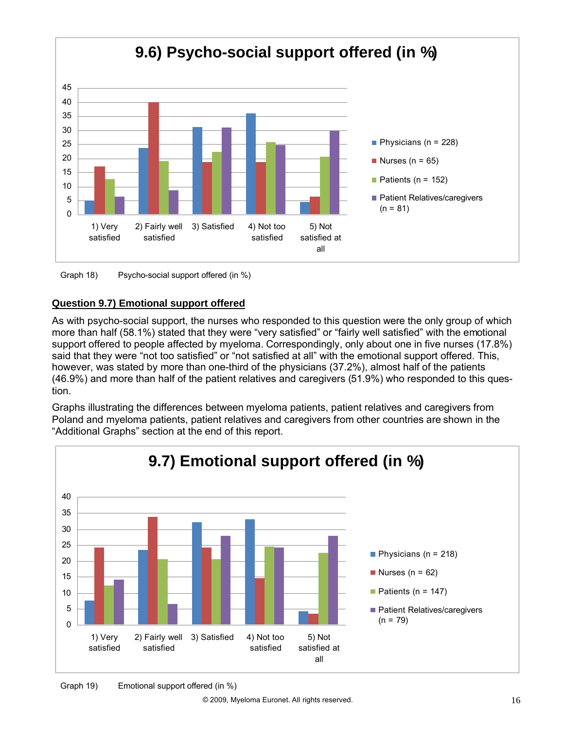

Graph 18) Psycho-social support offered (in %)

## **Question 9.7) Emotional support offered**

As with psycho-social support, the nurses who responded to this question were the only group of which more than half (58.1%) stated that they were "very satisfied" or "fairly well satisfied" with the emotional support offered to people affected by myeloma. Correspondingly, only about one in five nurses (17.8%) said that they were "not too satisfied" or "not satisfied at all" with the emotional support offered. This, however, was stated by more than one-third of the physicians (37.2%), almost half of the patients (46.9%) and more than half of the patient relatives and caregivers (51.9%) who responded to this question.

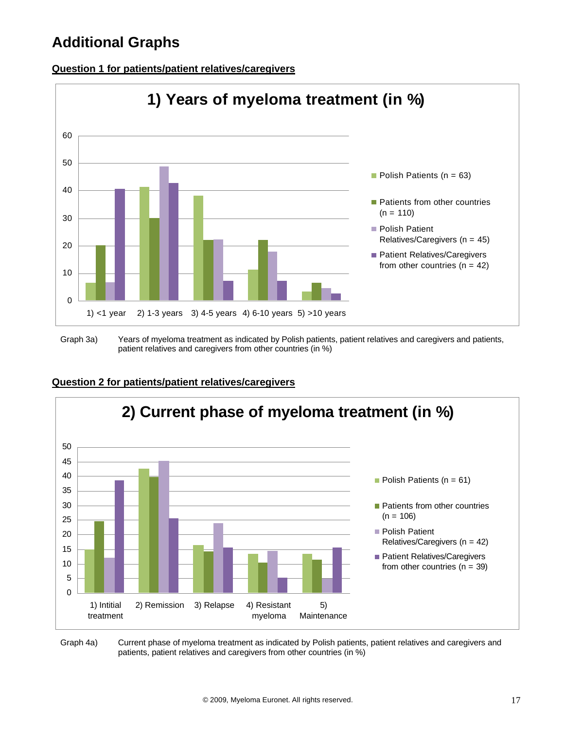# **Additional Graphs**



#### **Question 1 for patients/patient relatives/caregivers**

Graph 3a) Years of myeloma treatment as indicated by Polish patients, patient relatives and caregivers and patients, patient relatives and caregivers from other countries (in %)



#### **Question 2 for patients/patient relatives/caregivers**

Graph 4a) Current phase of myeloma treatment as indicated by Polish patients, patient relatives and caregivers and patients, patient relatives and caregivers from other countries (in %)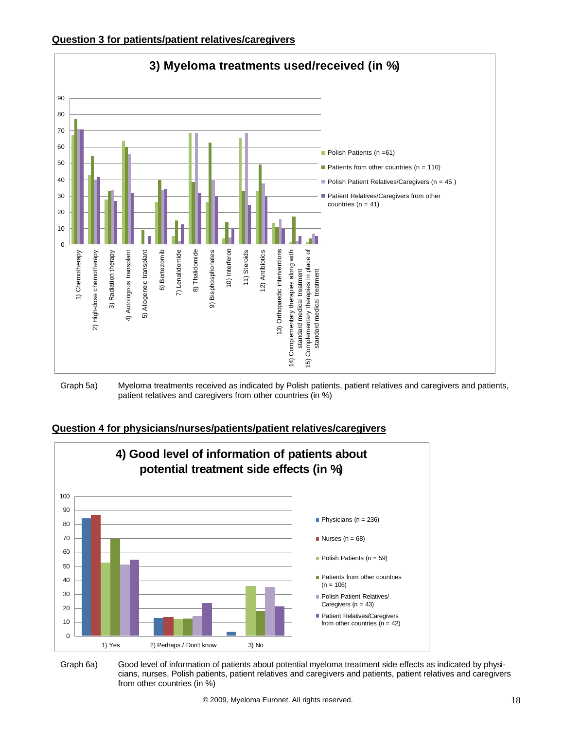



Graph 5a) Myeloma treatments received as indicated by Polish patients, patient relatives and caregivers and patients, patient relatives and caregivers from other countries (in %)





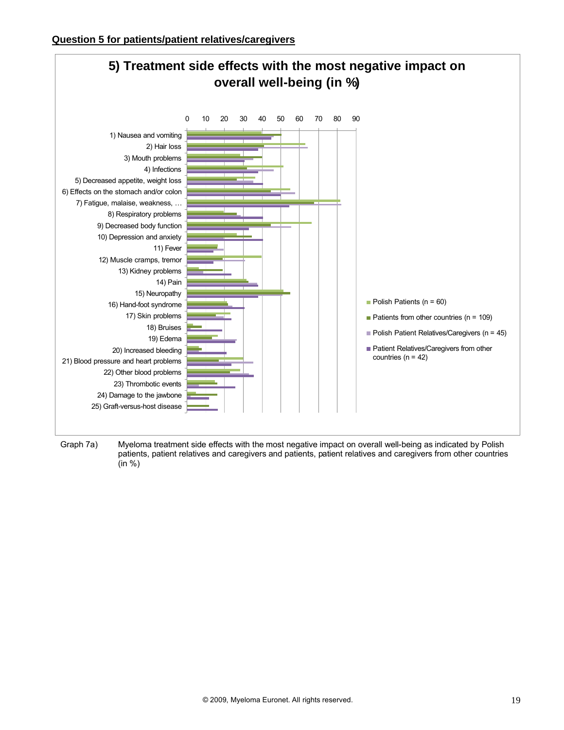

Graph 7a) Myeloma treatment side effects with the most negative impact on overall well-being as indicated by Polish patients, patient relatives and caregivers and patients, patient relatives and caregivers from other countries (in %)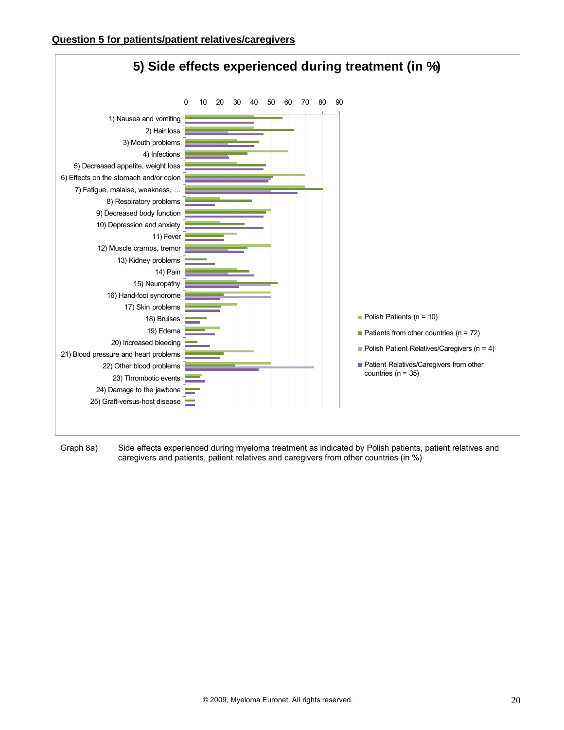

Graph 8a) Side effects experienced during myeloma treatment as indicated by Polish patients, patient relatives and caregivers and patients, patient relatives and caregivers from other countries (in %)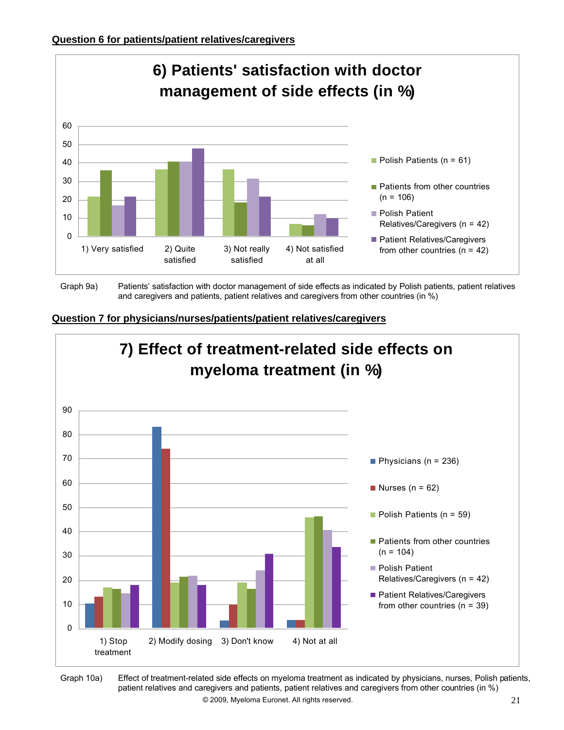

Graph 9a) Patients' satisfaction with doctor management of side effects as indicated by Polish patients, patient relatives and caregivers and patients, patient relatives and caregivers from other countries (in %)





Ä 2009, Myeloma Euronet. All rights reserved. 21 Graph 10a) Effect of treatment-related side effects on myeloma treatment as indicated by physicians, nurses, Polish patients, patient relatives and caregivers and patients, patient relatives and caregivers from other countries (in %)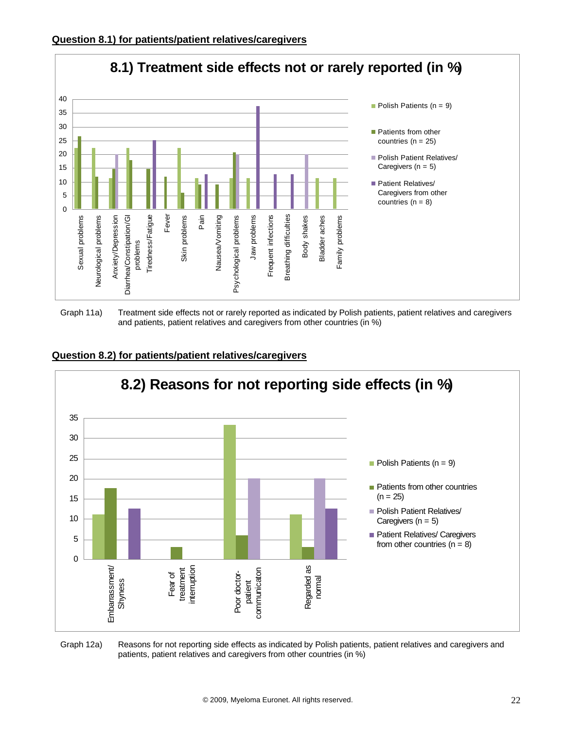

Graph 11a) Treatment side effects not or rarely reported as indicated by Polish patients, patient relatives and caregivers and patients, patient relatives and caregivers from other countries (in %)



#### **Question 8.2) for patients/patient relatives/caregivers**

#### Graph 12a) Reasons for not reporting side effects as indicated by Polish patients, patient relatives and caregivers and patients, patient relatives and caregivers from other countries (in %)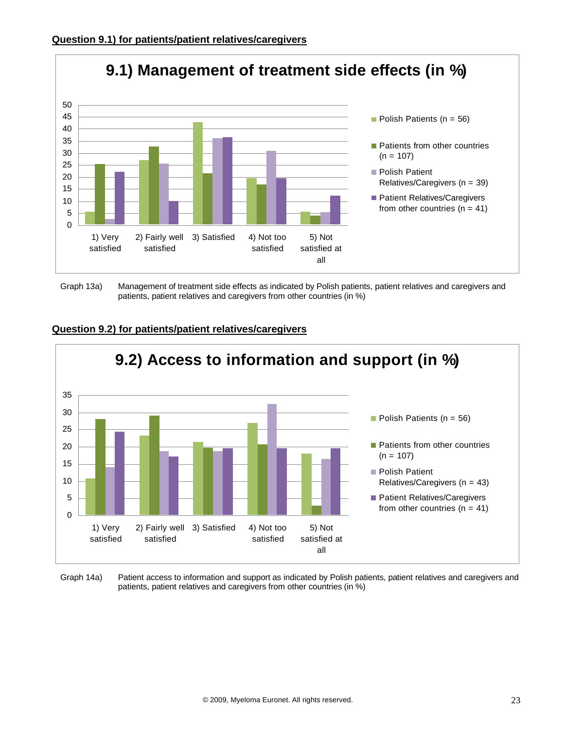

Graph 13a) Management of treatment side effects as indicated by Polish patients, patient relatives and caregivers and patients, patient relatives and caregivers from other countries (in %)



## **Question 9.2) for patients/patient relatives/caregivers**

Graph 14a) Patient access to information and support as indicated by Polish patients, patient relatives and caregivers and patients, patient relatives and caregivers from other countries (in %)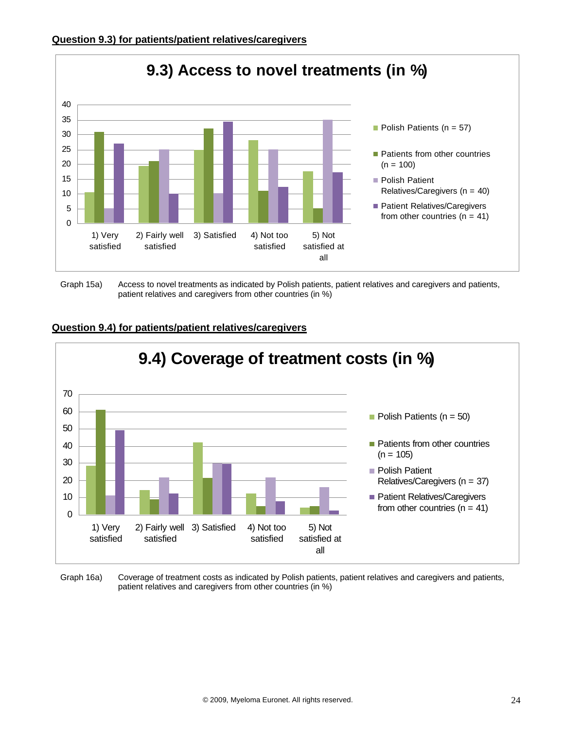

Graph 15a) Access to novel treatments as indicated by Polish patients, patient relatives and caregivers and patients, patient relatives and caregivers from other countries (in %)



#### **Question 9.4) for patients/patient relatives/caregivers**

Graph 16a) Coverage of treatment costs as indicated by Polish patients, patient relatives and caregivers and patients, patient relatives and caregivers from other countries (in %)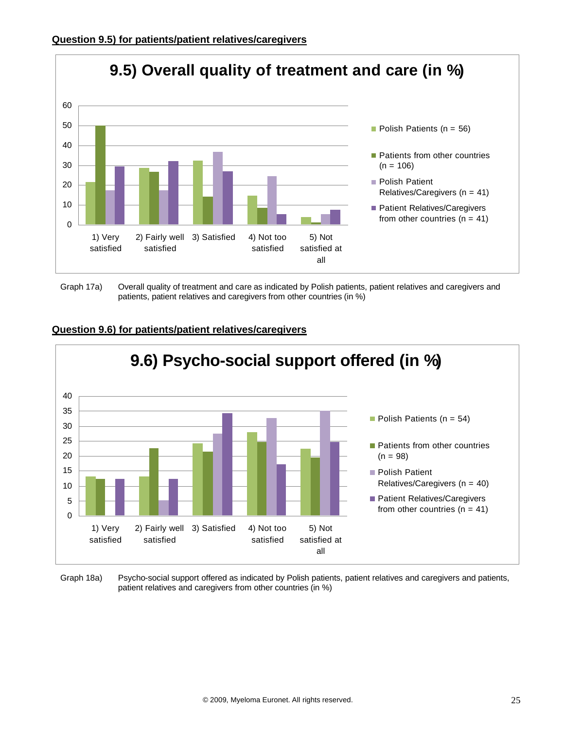

Graph 17a) Overall quality of treatment and care as indicated by Polish patients, patient relatives and caregivers and patients, patient relatives and caregivers from other countries (in %)



#### **Question 9.6) for patients/patient relatives/caregivers**

Graph 18a) Psycho-social support offered as indicated by Polish patients, patient relatives and caregivers and patients, patient relatives and caregivers from other countries (in %)